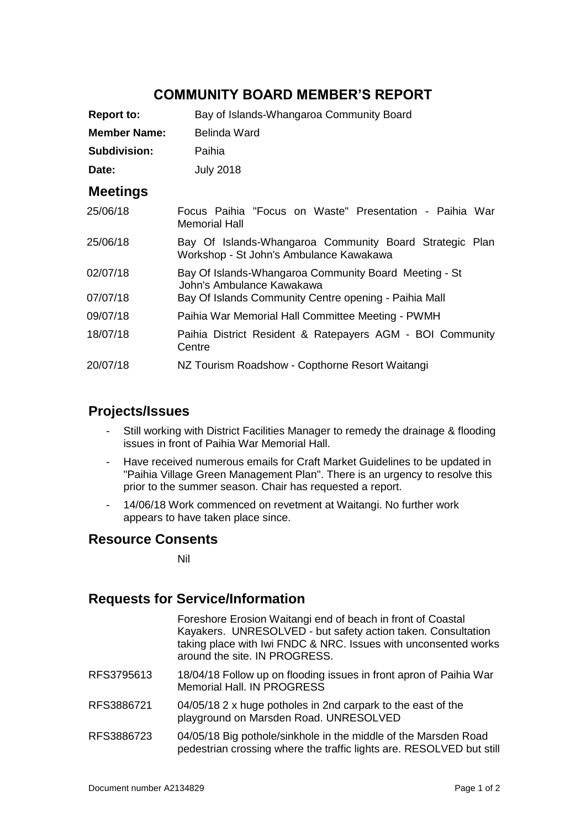# **COMMUNITY BOARD MEMBER'S REPORT**

| <b>Report to:</b>   | Bay of Islands-Whangaroa Community Board                                                           |
|---------------------|----------------------------------------------------------------------------------------------------|
| <b>Member Name:</b> | Belinda Ward                                                                                       |
| <b>Subdivision:</b> | Paihia                                                                                             |
| Date:               | <b>July 2018</b>                                                                                   |
| <b>Meetings</b>     |                                                                                                    |
| 25/06/18            | Focus Paihia "Focus on Waste" Presentation - Paihia War<br><b>Memorial Hall</b>                    |
| 25/06/18            | Bay Of Islands-Whangaroa Community Board Strategic Plan<br>Workshop - St John's Ambulance Kawakawa |
| 02/07/18            | Bay Of Islands-Whangaroa Community Board Meeting - St<br>John's Ambulance Kawakawa                 |
| 07/07/18            | Bay Of Islands Community Centre opening - Paihia Mall                                              |
| 09/07/18            | Paihia War Memorial Hall Committee Meeting - PWMH                                                  |
| 18/07/18            | Paihia District Resident & Ratepayers AGM - BOI Community<br>Centre                                |
| 20/07/18            | NZ Tourism Roadshow - Copthorne Resort Waitangi                                                    |

### **Projects/Issues**

- Still working with District Facilities Manager to remedy the drainage & flooding issues in front of Paihia War Memorial Hall.
- Have received numerous emails for Craft Market Guidelines to be updated in "Paihia Village Green Management Plan". There is an urgency to resolve this prior to the summer season. Chair has requested a report.
- 14/06/18 Work commenced on revetment at Waitangi. No further work appears to have taken place since.

## **Resource Consents**

Nil

# **Requests for Service/Information**

|            | Foreshore Erosion Waitangi end of beach in front of Coastal<br>Kayakers. UNRESOLVED - but safety action taken. Consultation<br>taking place with Iwi FNDC & NRC. Issues with unconsented works<br>around the site. IN PROGRESS. |
|------------|---------------------------------------------------------------------------------------------------------------------------------------------------------------------------------------------------------------------------------|
| RFS3795613 | 18/04/18 Follow up on flooding issues in front apron of Paihia War<br>Memorial Hall. IN PROGRESS                                                                                                                                |
| RFS3886721 | 04/05/18 2 x huge potholes in 2nd carpark to the east of the<br>playground on Marsden Road. UNRESOLVED                                                                                                                          |
| RFS3886723 | 04/05/18 Big pothole/sinkhole in the middle of the Marsden Road<br>pedestrian crossing where the traffic lights are. RESOLVED but still                                                                                         |